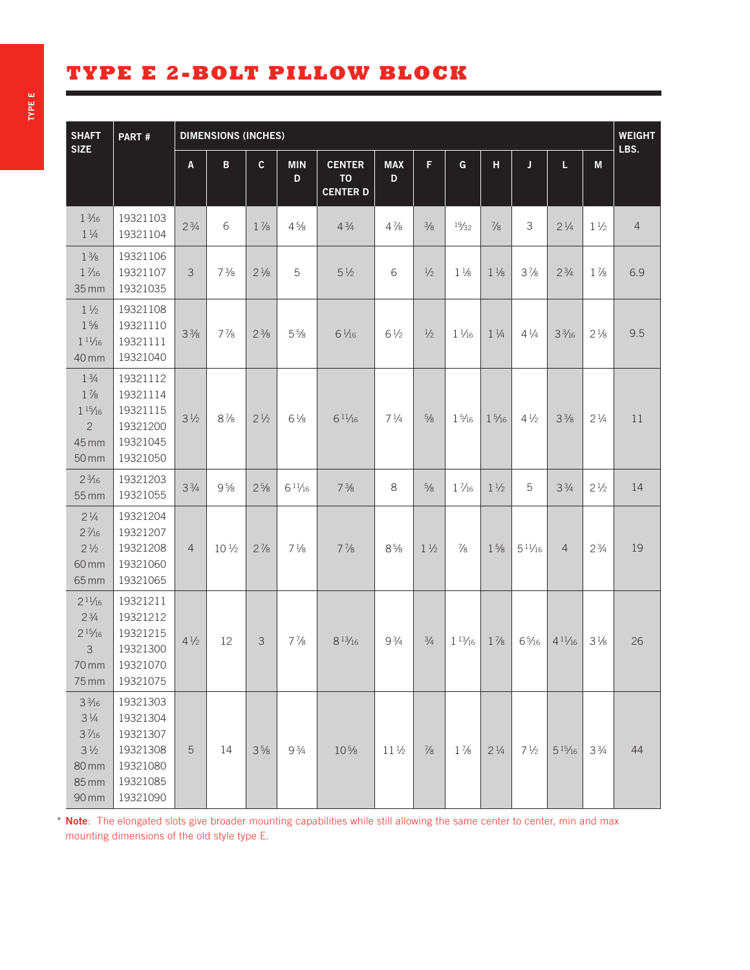## **TYPE E 2-BOLT PILLOW BLOCK**

| <b>SHAFT</b><br><b>SIZE</b>                                                                              |                                                                                  |                |                 |                |                 |                                               | <b>WEIGHT</b><br>LBS. |                |                  |                 |                 |                 |                |                |
|----------------------------------------------------------------------------------------------------------|----------------------------------------------------------------------------------|----------------|-----------------|----------------|-----------------|-----------------------------------------------|-----------------------|----------------|------------------|-----------------|-----------------|-----------------|----------------|----------------|
|                                                                                                          |                                                                                  | A              | B               | C              | <b>MIN</b><br>D | <b>CENTER</b><br><b>TO</b><br><b>CENTER D</b> | <b>MAX</b><br>D.      | F.             | G                | H               | J               | L.              | M              |                |
| $1\frac{3}{16}$<br>$1\frac{1}{4}$                                                                        | 19321103<br>19321104                                                             | $2^{3/4}$      | 6               | $1\frac{7}{8}$ | $4\frac{5}{8}$  | $4\frac{3}{4}$                                | $4\frac{7}{8}$        | $\frac{3}{8}$  | 19/32            | $\frac{7}{8}$   | $\mathfrak{Z}$  | $2\frac{1}{4}$  | $1\frac{1}{2}$ | $\overline{4}$ |
| $1\frac{3}{8}$<br>$1\frac{7}{16}$<br>$35$ mm                                                             | 19321106<br>19321107<br>19321035                                                 | 3              | $7\frac{3}{8}$  | $2\frac{1}{8}$ | 5               | $5\frac{1}{2}$                                | 6                     | $\frac{1}{2}$  | $1\frac{1}{8}$   | $1\frac{1}{8}$  | $3\frac{7}{8}$  | $2^{3/4}$       | $1\frac{7}{8}$ | 6.9            |
| $1\frac{1}{2}$<br>$1\frac{5}{8}$<br>11/16<br>40 mm                                                       | 19321108<br>19321110<br>19321111<br>19321040                                     | $3\frac{3}{8}$ | $7\frac{7}{8}$  | $2\frac{3}{8}$ | $5\frac{5}{8}$  | $6\frac{1}{16}$                               | $6\frac{1}{2}$        | $\frac{1}{2}$  | $1\frac{1}{16}$  | $1\frac{1}{4}$  | $4\frac{1}{4}$  | $3\frac{3}{16}$ | $2\frac{1}{8}$ | 9.5            |
| $1\frac{3}{4}$<br>$1\frac{7}{8}$<br>$1\frac{15}{16}$<br>$\overline{2}$<br>45 mm<br>$50 \, \text{mm}$     | 19321112<br>19321114<br>19321115<br>19321200<br>19321045<br>19321050             | $3\frac{1}{2}$ | $8\frac{7}{8}$  | $2\frac{1}{2}$ | $6\frac{1}{8}$  | 611/16                                        | $7\frac{1}{4}$        | $5/8$          | $1\frac{5}{16}$  | $1\frac{5}{16}$ | $4\frac{1}{2}$  | $3\frac{3}{8}$  | $2\frac{1}{4}$ | 11             |
| $2\frac{3}{16}$<br>55 mm                                                                                 | 19321203<br>19321055                                                             | $3\frac{3}{4}$ | $9\frac{5}{8}$  | $2\frac{5}{8}$ | 611/16          | $7\frac{3}{8}$                                | 8                     | $\frac{5}{8}$  | $1\frac{7}{16}$  | $1\frac{1}{2}$  | 5               | $3\frac{3}{4}$  | $2\frac{1}{2}$ | 14             |
| $2\frac{1}{4}$<br>$2\frac{7}{16}$<br>$2\frac{1}{2}$<br>60 mm<br>65 mm                                    | 19321204<br>19321207<br>19321208<br>19321060<br>19321065                         | $\overline{4}$ | $10\frac{1}{2}$ | $2\frac{7}{8}$ | $7\frac{1}{8}$  | $7\frac{7}{8}$                                | $8\frac{5}{8}$        | $1\frac{1}{2}$ | $\frac{7}{8}$    | $1\frac{5}{8}$  | $5^{11/16}$     | $\overline{4}$  | $2\frac{3}{4}$ | 19             |
| $2^{11/16}$<br>$2\frac{3}{4}$<br>$2^{15}/16$<br>$\mathfrak{Z}$<br>70 mm<br>75 mm                         | 19321211<br>19321212<br>19321215<br>19321300<br>19321070<br>19321075             | $4\frac{1}{2}$ | 12              | 3              | $7\frac{7}{8}$  | $8^{13}/_{16}$                                | $9\frac{3}{4}$        | $\frac{3}{4}$  | $1\frac{13}{16}$ | $1\frac{7}{8}$  | $6\frac{5}{16}$ | $4^{11/16}$     | $3\frac{1}{8}$ | 26             |
| $3\frac{3}{16}$<br>$3\frac{1}{4}$<br>$3\frac{7}{16}$<br>$3\frac{1}{2}$<br><b>80 mm</b><br>85 mm<br>90 mm | 19321303<br>19321304<br>19321307<br>19321308<br>19321080<br>19321085<br>19321090 | 5              | 14              | $3\frac{5}{8}$ | $9\frac{3}{4}$  | 10%                                           | $11\frac{1}{2}$       | $\frac{7}{8}$  | $1\frac{7}{8}$   | $2\frac{1}{4}$  | $7\frac{1}{2}$  | $5^{15}/_{16}$  | $3\frac{3}{4}$ | 44             |

\* Note: The elongated slots give broader mounting capabilities while still allowing the same center to center, min and max mounting dimensions of the old style type E.